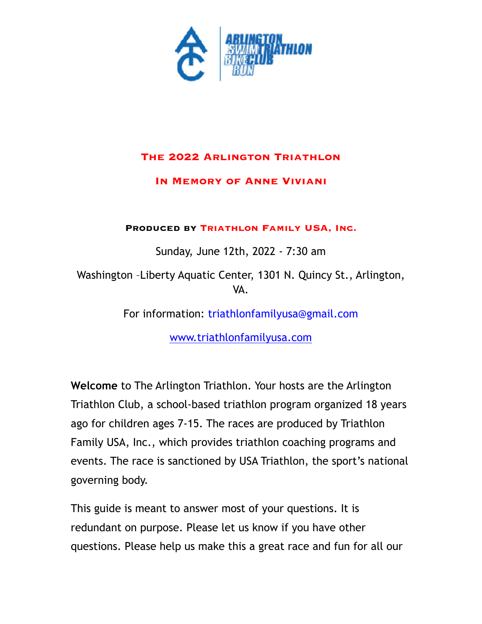

### **The 2022 Arlington Triathlon**

### **In Memory of Anne Viviani**

**Produced by Triathlon Family USA, Inc.**

Sunday, June 12th, 2022 - 7:30 am

Washington –Liberty Aquatic Center, 1301 N. Quincy St., Arlington, VA.

For information: triathlonfamilyusa@gmail.com

[www.triathlonfamilyusa.com](http://www.triathlonfamilyusa.com)

**Welcome** to The Arlington Triathlon. Your hosts are the Arlington Triathlon Club, a school-based triathlon program organized 18 years ago for children ages 7-15. The races are produced by Triathlon Family USA, Inc., which provides triathlon coaching programs and events. The race is sanctioned by USA Triathlon, the sport's national governing body.

This guide is meant to answer most of your questions. It is redundant on purpose. Please let us know if you have other questions. Please help us make this a great race and fun for all our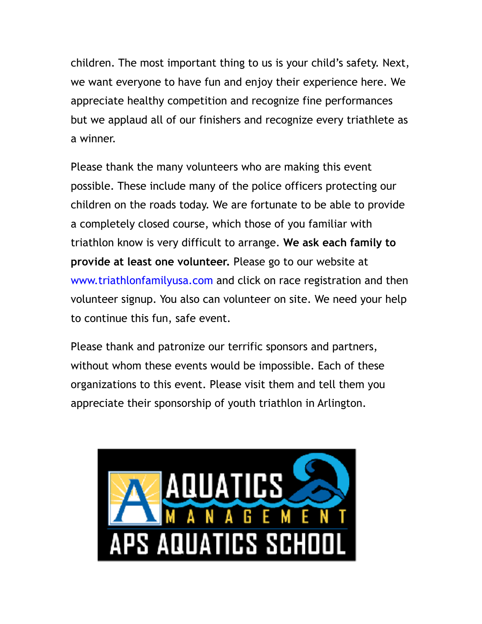children. The most important thing to us is your child's safety. Next, we want everyone to have fun and enjoy their experience here. We appreciate healthy competition and recognize fine performances but we applaud all of our finishers and recognize every triathlete as a winner.

Please thank the many volunteers who are making this event possible. These include many of the police officers protecting our children on the roads today. We are fortunate to be able to provide a completely closed course, which those of you familiar with triathlon know is very difficult to arrange. **We ask each family to provide at least one volunteer.** Please go to our website at www.triathlonfamilyusa.com and click on race registration and then volunteer signup. You also can volunteer on site. We need your help to continue this fun, safe event.

Please thank and patronize our terrific sponsors and partners, without whom these events would be impossible. Each of these organizations to this event. Please visit them and tell them you appreciate their sponsorship of youth triathlon in Arlington.

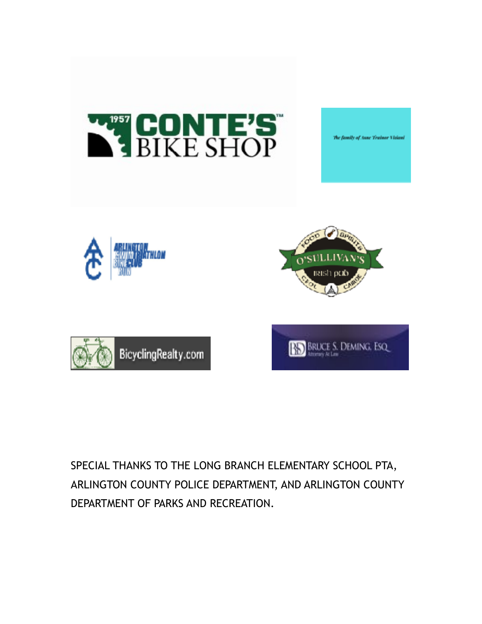

SPECIAL THANKS TO THE LONG BRANCH ELEMENTARY SCHOOL PTA, ARLINGTON COUNTY POLICE DEPARTMENT, AND ARLINGTON COUNTY DEPARTMENT OF PARKS AND RECREATION.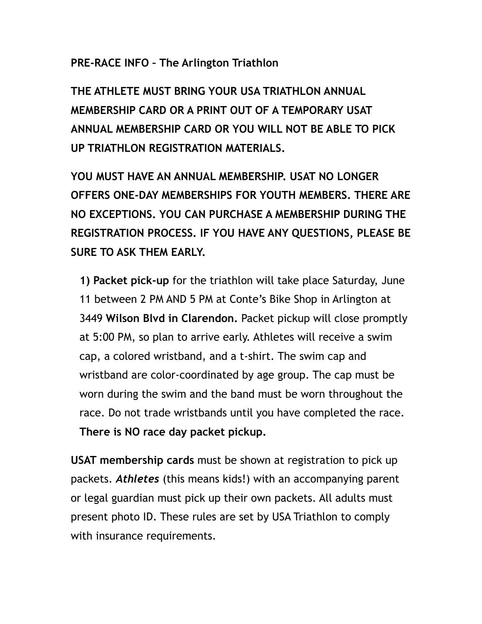### **PRE-RACE INFO – The Arlington Triathlon**

**THE ATHLETE MUST BRING YOUR USA TRIATHLON ANNUAL MEMBERSHIP CARD OR A PRINT OUT OF A TEMPORARY USAT ANNUAL MEMBERSHIP CARD OR YOU WILL NOT BE ABLE TO PICK UP TRIATHLON REGISTRATION MATERIALS.** 

**YOU MUST HAVE AN ANNUAL MEMBERSHIP. USAT NO LONGER OFFERS ONE-DAY MEMBERSHIPS FOR YOUTH MEMBERS. THERE ARE NO EXCEPTIONS. YOU CAN PURCHASE A MEMBERSHIP DURING THE REGISTRATION PROCESS. IF YOU HAVE ANY QUESTIONS, PLEASE BE SURE TO ASK THEM EARLY.**

**1) Packet pick-up** for the triathlon will take place Saturday, June 11 between 2 PM AND 5 PM at Conte's Bike Shop in Arlington at 3449 **Wilson Blvd in Clarendon.** Packet pickup will close promptly at 5:00 PM, so plan to arrive early. Athletes will receive a swim cap, a colored wristband, and a t-shirt. The swim cap and wristband are color-coordinated by age group. The cap must be worn during the swim and the band must be worn throughout the race. Do not trade wristbands until you have completed the race. **There is NO race day packet pickup.** 

**USAT membership cards** must be shown at registration to pick up packets. *Athletes* (this means kids!) with an accompanying parent or legal guardian must pick up their own packets. All adults must present photo ID. These rules are set by USA Triathlon to comply with insurance requirements.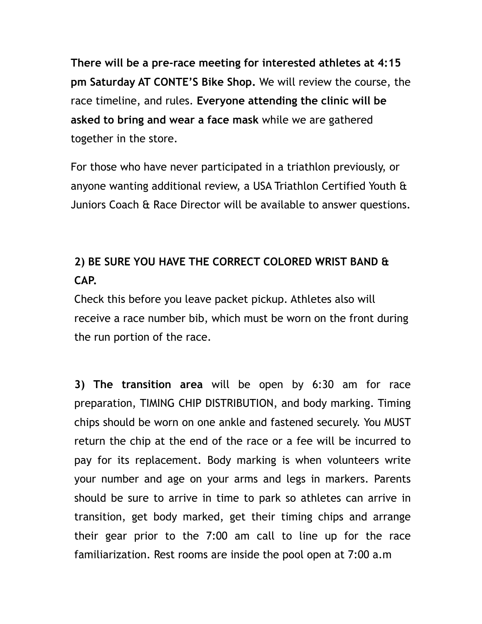**There will be a pre-race meeting for interested athletes at 4:15 pm Saturday AT CONTE'S Bike Shop.** We will review the course, the race timeline, and rules. **Everyone attending the clinic will be asked to bring and wear a face mask** while we are gathered together in the store.

For those who have never participated in a triathlon previously, or anyone wanting additional review, a USA Triathlon Certified Youth & Juniors Coach & Race Director will be available to answer questions.

# **2) BE SURE YOU HAVE THE CORRECT COLORED WRIST BAND & CAP.**

Check this before you leave packet pickup. Athletes also will receive a race number bib, which must be worn on the front during the run portion of the race.

**3) The transition area** will be open by 6:30 am for race preparation, TIMING CHIP DISTRIBUTION, and body marking. Timing chips should be worn on one ankle and fastened securely. You MUST return the chip at the end of the race or a fee will be incurred to pay for its replacement. Body marking is when volunteers write your number and age on your arms and legs in markers. Parents should be sure to arrive in time to park so athletes can arrive in transition, get body marked, get their timing chips and arrange their gear prior to the 7:00 am call to line up for the race familiarization. Rest rooms are inside the pool open at 7:00 a.m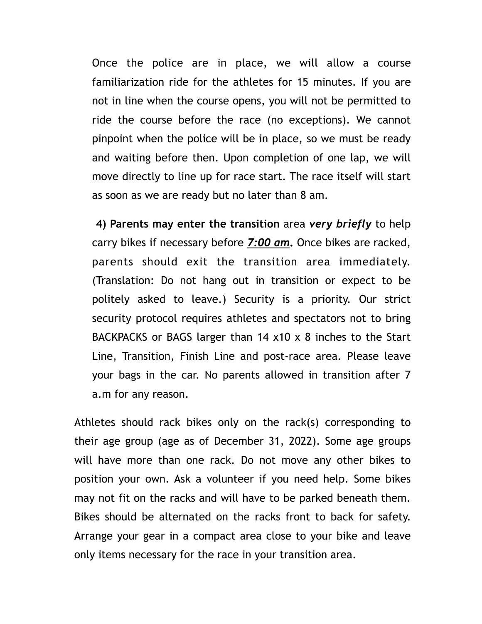Once the police are in place, we will allow a course familiarization ride for the athletes for 15 minutes. If you are not in line when the course opens, you will not be permitted to ride the course before the race (no exceptions). We cannot pinpoint when the police will be in place, so we must be ready and waiting before then. Upon completion of one lap, we will move directly to line up for race start. The race itself will start as soon as we are ready but no later than 8 am.

**4) Parents may enter the transition** area *very briefly* to help carry bikes if necessary before *7:00 am***.** Once bikes are racked, parents should exit the transition area immediately. (Translation: Do not hang out in transition or expect to be politely asked to leave.) Security is a priority. Our strict security protocol requires athletes and spectators not to bring BACKPACKS or BAGS larger than 14 x10 x 8 inches to the Start Line, Transition, Finish Line and post-race area. Please leave your bags in the car. No parents allowed in transition after 7 a.m for any reason.

Athletes should rack bikes only on the rack(s) corresponding to their age group (age as of December 31, 2022). Some age groups will have more than one rack. Do not move any other bikes to position your own. Ask a volunteer if you need help. Some bikes may not fit on the racks and will have to be parked beneath them. Bikes should be alternated on the racks front to back for safety. Arrange your gear in a compact area close to your bike and leave only items necessary for the race in your transition area.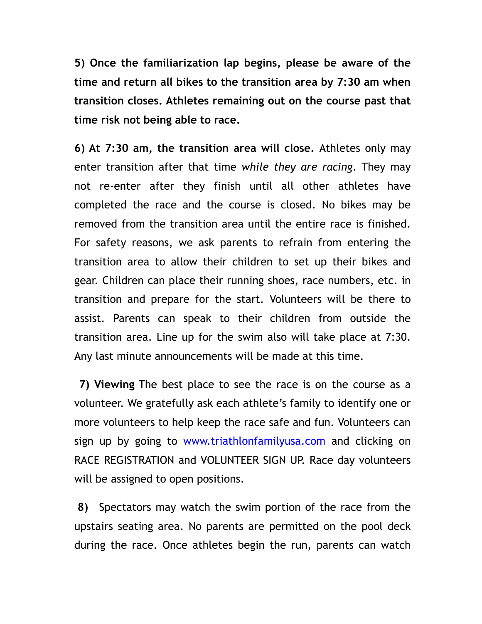**5) Once the familiarization lap begins, please be aware of the time and return all bikes to the transition area by 7:30 am when transition closes. Athletes remaining out on the course past that time risk not being able to race.** 

**6) At 7:30 am, the transition area will close.** Athletes only may enter transition after that time *while they are racing*. They may not re-enter after they finish until all other athletes have completed the race and the course is closed. No bikes may be removed from the transition area until the entire race is finished. For safety reasons, we ask parents to refrain from entering the transition area to allow their children to set up their bikes and gear. Children can place their running shoes, race numbers, etc. in transition and prepare for the start. Volunteers will be there to assist. Parents can speak to their children from outside the transition area. Line up for the swim also will take place at 7:30. Any last minute announcements will be made at this time.

**7) Viewing**–The best place to see the race is on the course as a volunteer. We gratefully ask each athlete's family to identify one or more volunteers to help keep the race safe and fun. Volunteers can sign up by going to www.triathlonfamilyusa.com and clicking on RACE REGISTRATION and VOLUNTEER SIGN UP. Race day volunteers will be assigned to open positions.

**8)** Spectators may watch the swim portion of the race from the upstairs seating area. No parents are permitted on the pool deck during the race. Once athletes begin the run, parents can watch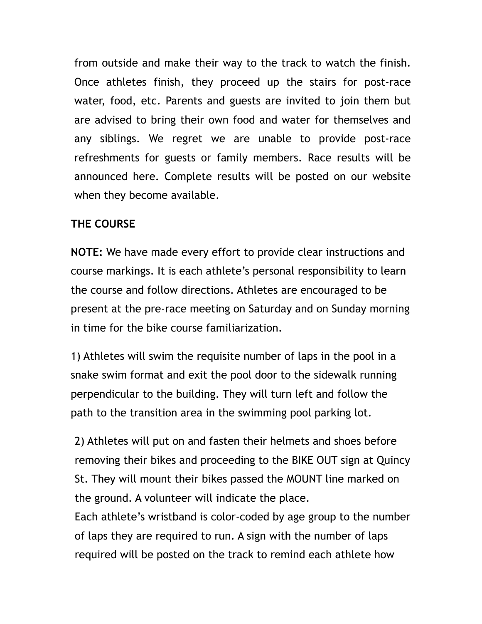from outside and make their way to the track to watch the finish. Once athletes finish, they proceed up the stairs for post-race water, food, etc. Parents and guests are invited to join them but are advised to bring their own food and water for themselves and any siblings. We regret we are unable to provide post-race refreshments for guests or family members. Race results will be announced here. Complete results will be posted on our website when they become available.

### **THE COURSE**

**NOTE:** We have made every effort to provide clear instructions and course markings. It is each athlete's personal responsibility to learn the course and follow directions. Athletes are encouraged to be present at the pre-race meeting on Saturday and on Sunday morning in time for the bike course familiarization.

1) Athletes will swim the requisite number of laps in the pool in a snake swim format and exit the pool door to the sidewalk running perpendicular to the building. They will turn left and follow the path to the transition area in the swimming pool parking lot.

2) Athletes will put on and fasten their helmets and shoes before removing their bikes and proceeding to the BIKE OUT sign at Quincy St. They will mount their bikes passed the MOUNT line marked on the ground. A volunteer will indicate the place.

Each athlete's wristband is color-coded by age group to the number of laps they are required to run. A sign with the number of laps required will be posted on the track to remind each athlete how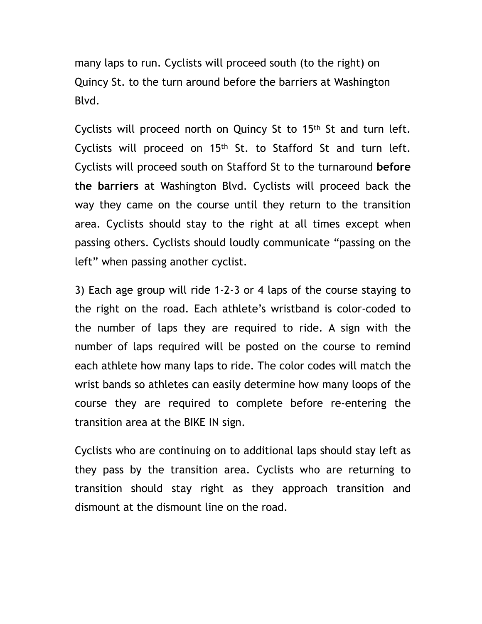many laps to run. Cyclists will proceed south (to the right) on Quincy St. to the turn around before the barriers at Washington Blvd.

Cyclists will proceed north on Quincy St to 15th St and turn left. Cyclists will proceed on 15th St. to Stafford St and turn left. Cyclists will proceed south on Stafford St to the turnaround **before the barriers** at Washington Blvd. Cyclists will proceed back the way they came on the course until they return to the transition area. Cyclists should stay to the right at all times except when passing others. Cyclists should loudly communicate "passing on the left" when passing another cyclist.

3) Each age group will ride 1-2-3 or 4 laps of the course staying to the right on the road. Each athlete's wristband is color-coded to the number of laps they are required to ride. A sign with the number of laps required will be posted on the course to remind each athlete how many laps to ride. The color codes will match the wrist bands so athletes can easily determine how many loops of the course they are required to complete before re-entering the transition area at the BIKE IN sign.

Cyclists who are continuing on to additional laps should stay left as they pass by the transition area. Cyclists who are returning to transition should stay right as they approach transition and dismount at the dismount line on the road.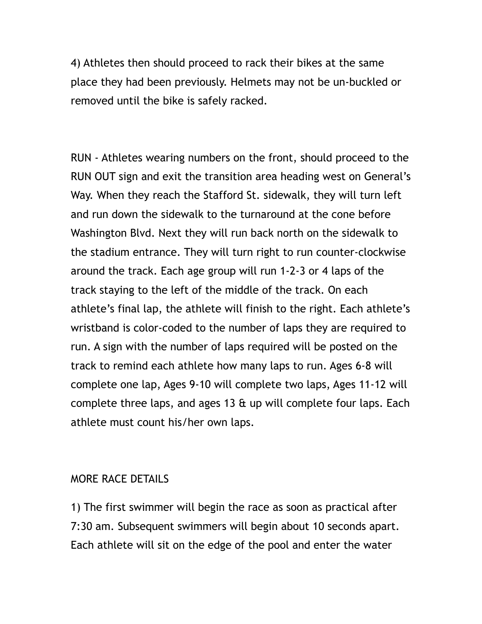4) Athletes then should proceed to rack their bikes at the same place they had been previously. Helmets may not be un-buckled or removed until the bike is safely racked.

RUN - Athletes wearing numbers on the front, should proceed to the RUN OUT sign and exit the transition area heading west on General's Way. When they reach the Stafford St. sidewalk, they will turn left and run down the sidewalk to the turnaround at the cone before Washington Blvd. Next they will run back north on the sidewalk to the stadium entrance. They will turn right to run counter-clockwise around the track. Each age group will run 1-2-3 or 4 laps of the track staying to the left of the middle of the track. On each athlete's final lap, the athlete will finish to the right. Each athlete's wristband is color-coded to the number of laps they are required to run. A sign with the number of laps required will be posted on the track to remind each athlete how many laps to run. Ages 6-8 will complete one lap, Ages 9-10 will complete two laps, Ages 11-12 will complete three laps, and ages 13 & up will complete four laps. Each athlete must count his/her own laps.

#### MORE RACE DETAILS

1) The first swimmer will begin the race as soon as practical after 7:30 am. Subsequent swimmers will begin about 10 seconds apart. Each athlete will sit on the edge of the pool and enter the water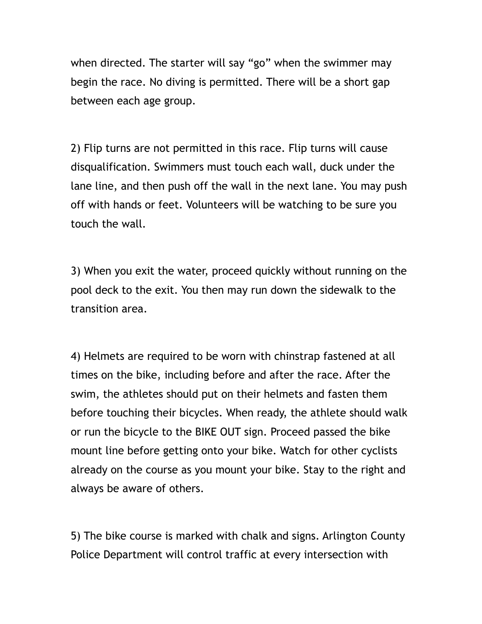when directed. The starter will say "go" when the swimmer may begin the race. No diving is permitted. There will be a short gap between each age group.

2) Flip turns are not permitted in this race. Flip turns will cause disqualification. Swimmers must touch each wall, duck under the lane line, and then push off the wall in the next lane. You may push off with hands or feet. Volunteers will be watching to be sure you touch the wall.

3) When you exit the water, proceed quickly without running on the pool deck to the exit. You then may run down the sidewalk to the transition area.

4) Helmets are required to be worn with chinstrap fastened at all times on the bike, including before and after the race. After the swim, the athletes should put on their helmets and fasten them before touching their bicycles. When ready, the athlete should walk or run the bicycle to the BIKE OUT sign. Proceed passed the bike mount line before getting onto your bike. Watch for other cyclists already on the course as you mount your bike. Stay to the right and always be aware of others.

5) The bike course is marked with chalk and signs. Arlington County Police Department will control traffic at every intersection with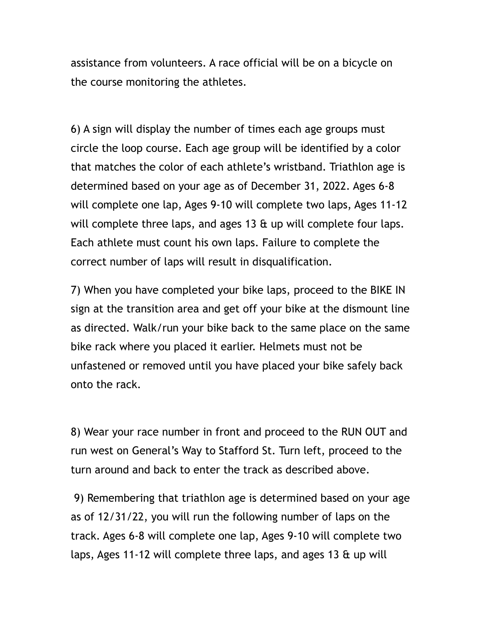assistance from volunteers. A race official will be on a bicycle on the course monitoring the athletes.

6) A sign will display the number of times each age groups must circle the loop course. Each age group will be identified by a color that matches the color of each athlete's wristband. Triathlon age is determined based on your age as of December 31, 2022. Ages 6-8 will complete one lap, Ages 9-10 will complete two laps, Ages 11-12 will complete three laps, and ages 13 & up will complete four laps. Each athlete must count his own laps. Failure to complete the correct number of laps will result in disqualification.

7) When you have completed your bike laps, proceed to the BIKE IN sign at the transition area and get off your bike at the dismount line as directed. Walk/run your bike back to the same place on the same bike rack where you placed it earlier. Helmets must not be unfastened or removed until you have placed your bike safely back onto the rack.

8) Wear your race number in front and proceed to the RUN OUT and run west on General's Way to Stafford St. Turn left, proceed to the turn around and back to enter the track as described above.

 9) Remembering that triathlon age is determined based on your age as of 12/31/22, you will run the following number of laps on the track. Ages 6-8 will complete one lap, Ages 9-10 will complete two laps, Ages 11-12 will complete three laps, and ages 13 & up will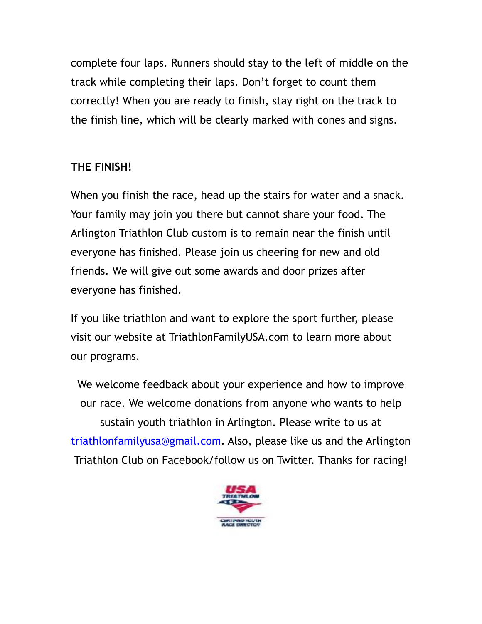complete four laps. Runners should stay to the left of middle on the track while completing their laps. Don't forget to count them correctly! When you are ready to finish, stay right on the track to the finish line, which will be clearly marked with cones and signs.

### **THE FINISH!**

When you finish the race, head up the stairs for water and a snack. Your family may join you there but cannot share your food. The Arlington Triathlon Club custom is to remain near the finish until everyone has finished. Please join us cheering for new and old friends. We will give out some awards and door prizes after everyone has finished.

If you like triathlon and want to explore the sport further, please visit our website at TriathlonFamilyUSA.com to learn more about our programs.

We welcome feedback about your experience and how to improve our race. We welcome donations from anyone who wants to help sustain youth triathlon in Arlington. Please write to us at triathlonfamilyusa@gmail.com. Also, please like us and the Arlington Triathlon Club on Facebook/follow us on Twitter. Thanks for racing!

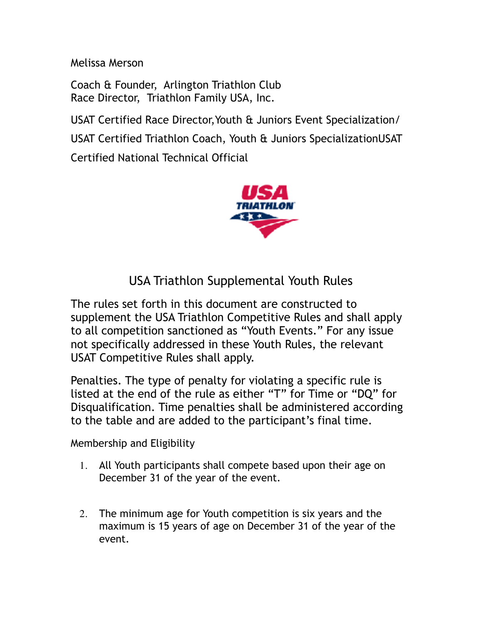Melissa Merson

Coach & Founder, Arlington Triathlon Club Race Director, Triathlon Family USA, Inc.

USAT Certified Race Director,Youth & Juniors Event Specialization/ USAT Certified Triathlon Coach, Youth & Juniors SpecializationUSAT Certified National Technical Official



## USA Triathlon Supplemental Youth Rules

The rules set forth in this document are constructed to supplement the USA Triathlon Competitive Rules and shall apply to all competition sanctioned as "Youth Events." For any issue not specifically addressed in these Youth Rules, the relevant USAT Competitive Rules shall apply.

Penalties. The type of penalty for violating a specific rule is listed at the end of the rule as either "T" for Time or "DQ" for Disqualification. Time penalties shall be administered according to the table and are added to the participant's final time.

Membership and Eligibility

- 1. All Youth participants shall compete based upon their age on December 31 of the year of the event.
- 2. The minimum age for Youth competition is six years and the maximum is 15 years of age on December 31 of the year of the event.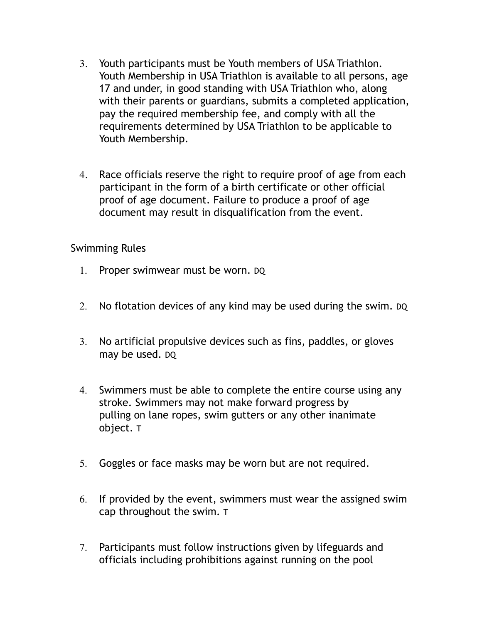- 3. Youth participants must be Youth members of USA Triathlon. Youth Membership in USA Triathlon is available to all persons, age 17 and under, in good standing with USA Triathlon who, along with their parents or guardians, submits a completed application, pay the required membership fee, and comply with all the requirements determined by USA Triathlon to be applicable to Youth Membership.
- 4. Race officials reserve the right to require proof of age from each participant in the form of a birth certificate or other official proof of age document. Failure to produce a proof of age document may result in disqualification from the event.

Swimming Rules

- 1. Proper swimwear must be worn. DQ
- 2. No flotation devices of any kind may be used during the swim. DQ
- 3. No artificial propulsive devices such as fins, paddles, or gloves may be used. DQ
- 4. Swimmers must be able to complete the entire course using any stroke. Swimmers may not make forward progress by pulling on lane ropes, swim gutters or any other inanimate object. T
- 5. Goggles or face masks may be worn but are not required.
- 6. If provided by the event, swimmers must wear the assigned swim cap throughout the swim. T
- 7. Participants must follow instructions given by lifeguards and officials including prohibitions against running on the pool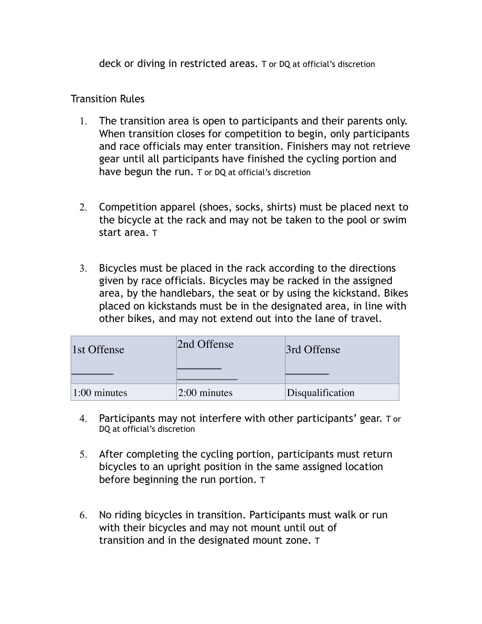deck or diving in restricted areas. T or DQ at official's discretion

### Transition Rules

- 1. The transition area is open to participants and their parents only. When transition closes for competition to begin, only participants and race officials may enter transition. Finishers may not retrieve gear until all participants have finished the cycling portion and have begun the run. T or DQ at official's discretion
- 2. Competition apparel (shoes, socks, shirts) must be placed next to the bicycle at the rack and may not be taken to the pool or swim start area. T
- 3. Bicycles must be placed in the rack according to the directions given by race officials. Bicycles may be racked in the assigned area, by the handlebars, the seat or by using the kickstand. Bikes placed on kickstands must be in the designated area, in line with other bikes, and may not extend out into the lane of travel.

| 1st Offense    | 2nd Offense    | 3rd Offense      |
|----------------|----------------|------------------|
| $1:00$ minutes | $2:00$ minutes | Disqualification |

- 4. Participants may not interfere with other participants' gear. T or DQ at official's discretion
- 5. After completing the cycling portion, participants must return bicycles to an upright position in the same assigned location before beginning the run portion. T
- 6. No riding bicycles in transition. Participants must walk or run with their bicycles and may not mount until out of transition and in the designated mount zone. T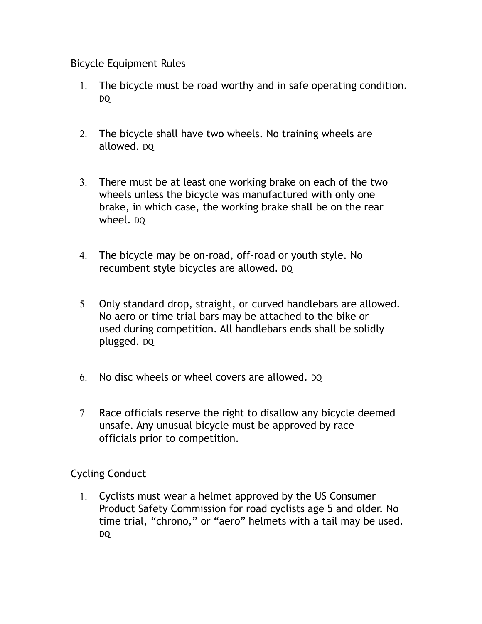### Bicycle Equipment Rules

- 1. The bicycle must be road worthy and in safe operating condition. DQ
- 2. The bicycle shall have two wheels. No training wheels are allowed. DQ
- 3. There must be at least one working brake on each of the two wheels unless the bicycle was manufactured with only one brake, in which case, the working brake shall be on the rear wheel. DQ
- 4. The bicycle may be on-road, off-road or youth style. No recumbent style bicycles are allowed. DQ
- 5. Only standard drop, straight, or curved handlebars are allowed. No aero or time trial bars may be attached to the bike or used during competition. All handlebars ends shall be solidly plugged. DQ
- 6. No disc wheels or wheel covers are allowed. DQ
- 7. Race officials reserve the right to disallow any bicycle deemed unsafe. Any unusual bicycle must be approved by race officials prior to competition.

Cycling Conduct

1. Cyclists must wear a helmet approved by the US Consumer Product Safety Commission for road cyclists age 5 and older. No time trial, "chrono," or "aero" helmets with a tail may be used. DQ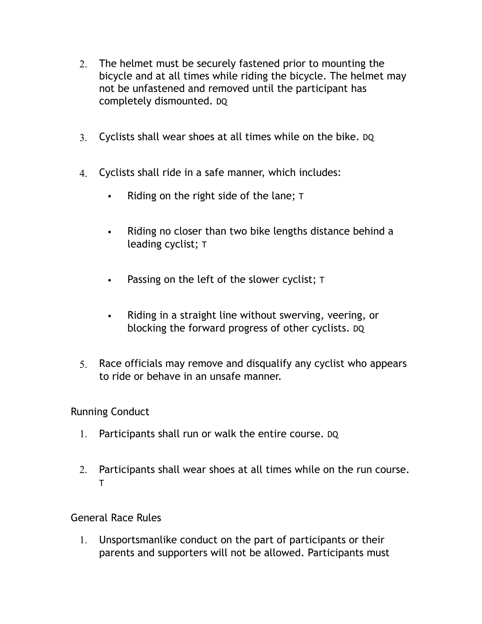- 2. The helmet must be securely fastened prior to mounting the bicycle and at all times while riding the bicycle. The helmet may not be unfastened and removed until the participant has completely dismounted. DQ
- 3. Cyclists shall wear shoes at all times while on the bike. DQ
- 4. Cyclists shall ride in a safe manner, which includes:
	- Riding on the right side of the lane; T
	- Riding no closer than two bike lengths distance behind a leading cyclist; T
	- Passing on the left of the slower cyclist; T
	- Riding in a straight line without swerving, veering, or blocking the forward progress of other cyclists. DQ
- 5. Race officials may remove and disqualify any cyclist who appears to ride or behave in an unsafe manner.

### Running Conduct

- 1. Participants shall run or walk the entire course. DQ
- 2. Participants shall wear shoes at all times while on the run course. T

General Race Rules

1. Unsportsmanlike conduct on the part of participants or their parents and supporters will not be allowed. Participants must